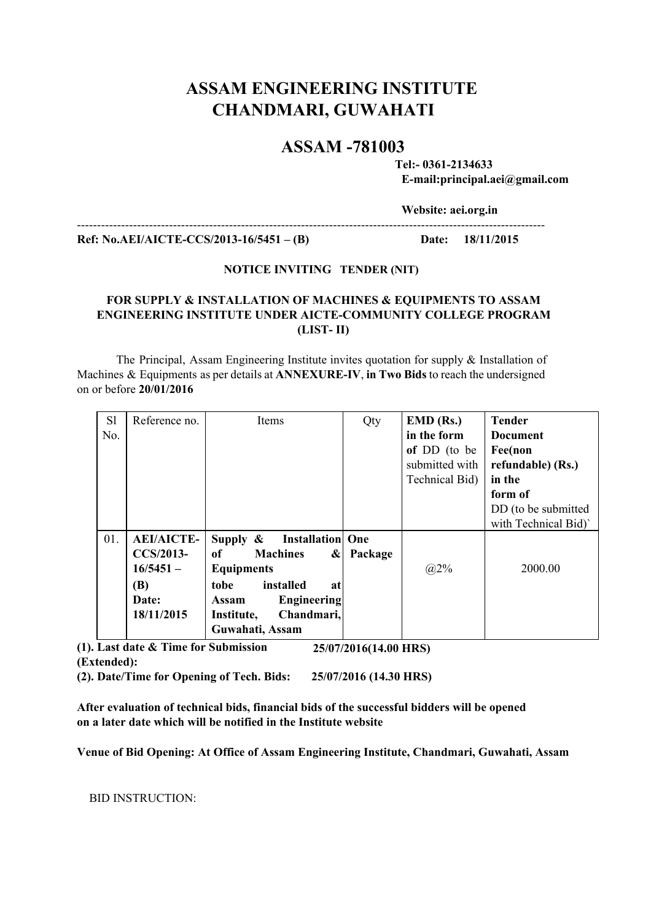# **ASSAM ENGINEERING INSTITUTE CHANDMARI, GUWAHATI**

## **ASSAM 781003**

**Tel: 03612134633 Email:principal.aei@gmail.com**

**Website: aei.org.in**

 **Ref: No.AEI/AICTECCS/201316/5451–(B) Date: 18/11/2015**

### **NOTICE INVITING TENDER (NIT)**

### **FOR SUPPLY & INSTALLATION OF MACHINES & EQUIPMENTS TO ASSAM ENGINEERING INSTITUTE UNDER AICTE-COMMUNITY COLLEGE PROGRAM (LIST II)**

The Principal, Assam Engineering Institute invites quotation for supply & Installation of Machines & Equipments as per details at **ANNEXUREIV**,**in Two Bids** to reach the undersigned on or before **20/01/2016**

| S1  | Reference no.     | Items                                  | Qty     | $EMD$ (Rs.)    | <b>Tender</b>        |
|-----|-------------------|----------------------------------------|---------|----------------|----------------------|
| No. |                   |                                        |         | in the form    | <b>Document</b>      |
|     |                   |                                        |         | of DD (to be   | Fee(non              |
|     |                   |                                        |         | submitted with | refundable) (Rs.)    |
|     |                   |                                        |         | Technical Bid) | in the               |
|     |                   |                                        |         |                | form of              |
|     |                   |                                        |         |                | DD (to be submitted  |
|     |                   |                                        |         |                | with Technical Bid)' |
| 01. | <b>AEI/AICTE-</b> | <b>Installation</b> One<br>Supply $\&$ |         |                |                      |
|     | <b>CCS/2013-</b>  | of<br><b>Machines</b><br>$\alpha$      | Package |                |                      |
|     | $16/5451 -$       | <b>Equipments</b>                      |         | $(a)2\%$       | 2000.00              |
|     | (B)               | installed<br>tobe<br>at                |         |                |                      |
|     | Date:             | <b>Engineering</b><br><b>Assam</b>     |         |                |                      |
|     | 18/11/2015        | Chandmari,<br>Institute,               |         |                |                      |
|     |                   | Guwahati, Assam                        |         |                |                      |

**(1). Last date & Time for Submission (Extended): 25/07/2016(14.00 HRS)**

**(2). Date/Time for Opening of Tech. Bids: 25/07/2016 (14.30 HRS)**

**After evaluation of technical bids, financial bids of the successful bidders will be opened on a later date which will be notified in the Institute website**

**Venue of Bid Opening: At Office of Assam Engineering Institute, Chandmari, Guwahati, Assam**

BID INSTRUCTION: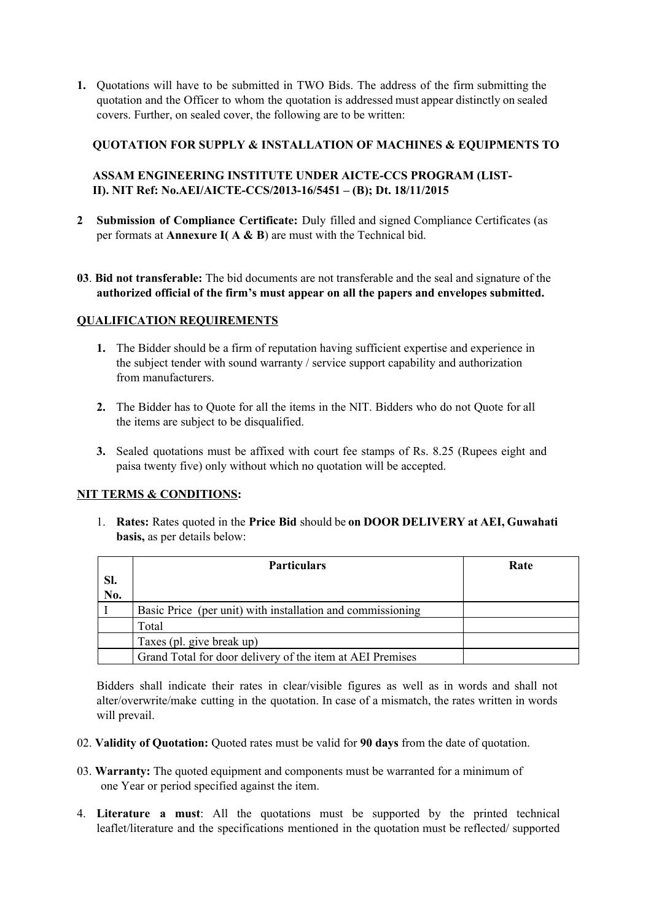**1.** Quotations will have to be submitted in TWO Bids. The address of the firm submitting the quotation and the Officer to whom the quotation is addressed must appear distinctly on sealed covers. Further, on sealed cover, the following are to be written:

### **QUOTATION FOR SUPPLY & INSTALLATION OF MACHINES & EQUIPMENTS TO**

### **ASSAM ENGINEERING INSTITUTE UNDER AICTECCS PROGRAM (LIST-II). NIT Ref: No.AEI/AICTECCS/201316/5451–(B); Dt. 18/11/2015**

- **2 Submission of Compliance Certificate:** Duly filled and signed Compliance Certificates (as per formats at **Annexure I( A & B**) are must with the Technical bid.
- **03**. **Bid not transferable:** The bid documents are not transferable and the seal and signature of the **authorized official of the firm's must appear on all the papers and envelopes submitted.**

### **QUALIFICATION REQUIREMENTS**

- **1.** The Bidder should be a firm of reputation having sufficient expertise and experience in the subject tender with sound warranty / service support capability and authorization from manufacturers.
- **2.** The Bidder has to Quote for all the items in the NIT. Bidders who do not Quote for all the items are subject to be disqualified.
- **3.** Sealed quotations must be affixed with court fee stamps of Rs. 8.25 (Rupees eight and paisa twenty five) only without which no quotation will be accepted.

### **NIT TERMS & CONDITIONS:**

1. **Rates:** Rates quoted in the **Price Bid** should be **on DOOR DELIVERY at AEI, Guwahati basis,** as per details below:

|     | <b>Particulars</b>                                         | Rate |
|-----|------------------------------------------------------------|------|
| SI. |                                                            |      |
| No. |                                                            |      |
|     | Basic Price (per unit) with installation and commissioning |      |
|     | Total                                                      |      |
|     | Taxes (pl. give break up)                                  |      |
|     | Grand Total for door delivery of the item at AEI Premises  |      |

Bidders shall indicate their rates in clear/visible figures as well as in words and shall not alter/overwrite/make cutting in the quotation. In case of a mismatch, the rates written in words will prevail.

- 02. **Validity of Quotation:**Quoted rates must be valid for **90 days**from the date of quotation.
- 03. **Warranty:**The quoted equipment and components must be warranted for a minimum of one Year or period specified against the item.
- 4. **Literature a must**: All the quotations must be supported by the printed technical leaflet/literature and the specifications mentioned in the quotation must be reflected/ supported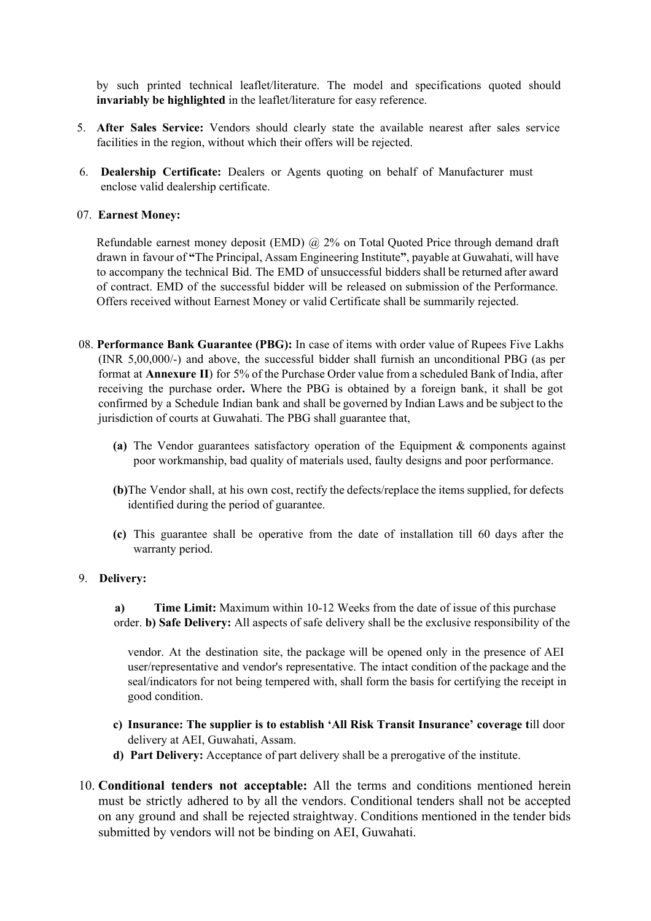by such printed technical leaflet/literature. The model and specifications quoted should **invariably be highlighted**in the leaflet/literature for easy reference.

- 5. **After Sales Service:** Vendors should clearly state the available nearest after sales service facilities in the region, without which their offers will be rejected.
- 6. **Dealership Certificate:** Dealers or Agents quoting on behalf of Manufacturer must enclose valid dealership certificate.

### 07. **Earnest Money:**

Refundable earnest money deposit (EMD) @ 2% on Total Quoted Price through demand draft drawn in favour of **"**The Principal, Assam Engineering Institute**"**, payable at Guwahati, will have to accompany the technical Bid. The EMD of unsuccessful bidders shall be returned after award of contract. EMD of the successful bidder will be released on submission of the Performance. Offers received without Earnest Money or valid Certificate shall be summarily rejected.

- 08. **Performance Bank Guarantee (PBG):** In case of items with order value of Rupees Five Lakhs (INR 5,00,000/) and above, the successful bidder shall furnish an unconditional PBG (as per format at **Annexure II**) for 5% of the Purchase Order value from a scheduled Bank of India, after receiving the purchase order**.** Where the PBG is obtained by a foreign bank, it shall be got confirmed by a Schedule Indian bank and shall be governed by Indian Laws and be subject to the jurisdiction of courts at Guwahati. The PBG shall guarantee that,
	- **(a)** The Vendor guarantees satisfactory operation of the Equipment & components against poor workmanship, bad quality of materials used, faulty designs and poor performance.
	- **(b)**The Vendor shall, at his own cost, rectify the defects/replace the items supplied, for defects identified during the period of guarantee.
	- **(c)** This guarantee shall be operative from the date of installation till 60 days after the warranty period.

### 9. **Delivery:**

**a) Time Limit:** Maximum within 10-12 Weeks from the date of issue of this purchase order. **b) Safe Delivery:** All aspects of safe delivery shall be the exclusive responsibility of the

vendor. At the destination site, the package will be opened only in the presence of AEI user/representative and vendor's representative. The intact condition of the package and the seal/indicators for not being tempered with, shall form the basis for certifying the receipt in good condition.

- **c) Insurance: The supplier is to establish 'All Risk Transit Insurance' coverage t**ill door delivery at AEI, Guwahati, Assam.
- **d) Part Delivery:** Acceptance of part delivery shall be a prerogative of the institute.
- 10. **Conditional tenders not acceptable:** All the terms and conditions mentioned herein must be strictly adhered to by all the vendors. Conditional tenders shall not be accepted on any ground and shall be rejected straightway. Conditions mentioned in the tender bids submitted by vendors will not be binding on AEI, Guwahati.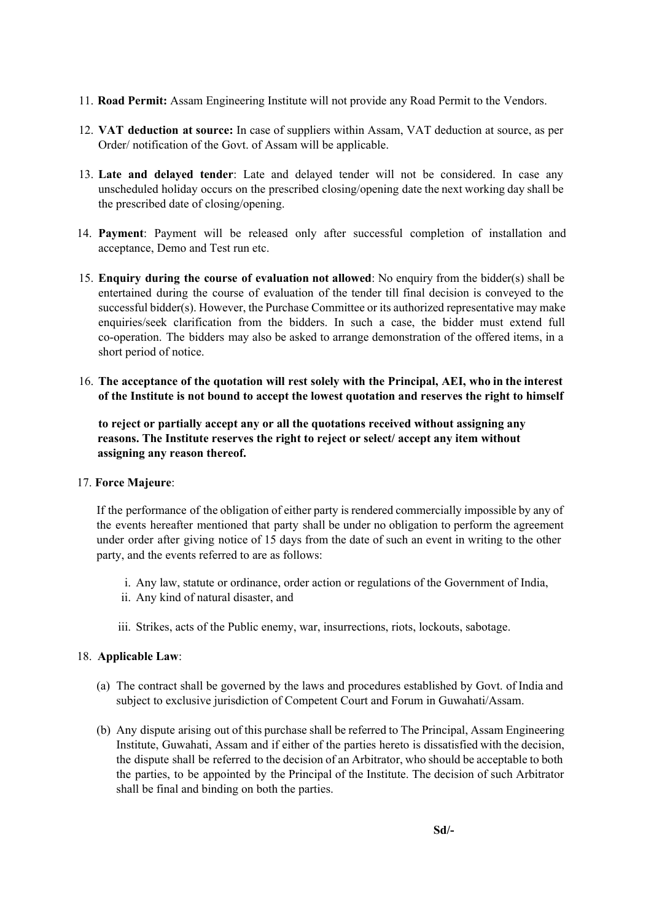- 11. **Road Permit:** Assam Engineering Institute will not provide any Road Permit to the Vendors.
- 12. **VAT deduction at source:** In case of suppliers within Assam, VAT deduction at source, as per Order/ notification of the Govt. of Assam will be applicable.
- 13. **Late and delayed tender**: Late and delayed tender will not be considered. In case any unscheduled holiday occurs on the prescribed closing/opening date the next working day shall be the prescribed date of closing/opening.
- 14. **Payment**: Payment will be released only after successful completion of installation and acceptance, Demo and Test run etc.
- 15. **Enquiry during the course of evaluation not allowed**: No enquiry from the bidder(s) shall be entertained during the course of evaluation of the tender till final decision is conveyed to the successful bidder(s). However, the Purchase Committee or its authorized representative may make enquiries/seek clarification from the bidders. In such a case, the bidder must extend full co-operation. The bidders may also be asked to arrange demonstration of the offered items, in a short period of notice.
- 16. **The acceptance of the quotation will rest solely with the Principal, AEI, who in the interest of the Institute is not bound to accept the lowest quotation and reserves the right to himself**

**to reject or partially accept any or all the quotations received without assigning any reasons. The Institute reserves the right to reject or select/ accept any item without assigning any reason thereof.**

### 17. **Force Majeure**:

If the performance of the obligation of either party is rendered commercially impossible by any of the events hereafter mentioned that party shall be under no obligation to perform the agreement under order after giving notice of 15 days from the date of such an event in writing to the other party, and the events referred to are as follows:

- i. Any law, statute or ordinance, order action or regulations of the Government of India,
- ii. Any kind of natural disaster, and
- iii. Strikes, acts of the Public enemy, war, insurrections, riots, lockouts, sabotage.

### 18. **Applicable Law**:

- (a) The contract shall be governed by the laws and procedures established by Govt. of India and subject to exclusive jurisdiction of Competent Court and Forum in Guwahati/Assam.
- (b) Any dispute arising out of this purchase shall be referred to The Principal, Assam Engineering Institute, Guwahati, Assam and if either of the parties hereto is dissatisfied with the decision, the dispute shall be referred to the decision of an Arbitrator, who should be acceptable to both the parties, to be appointed by the Principal of the Institute. The decision of such Arbitrator shall be final and binding on both the parties.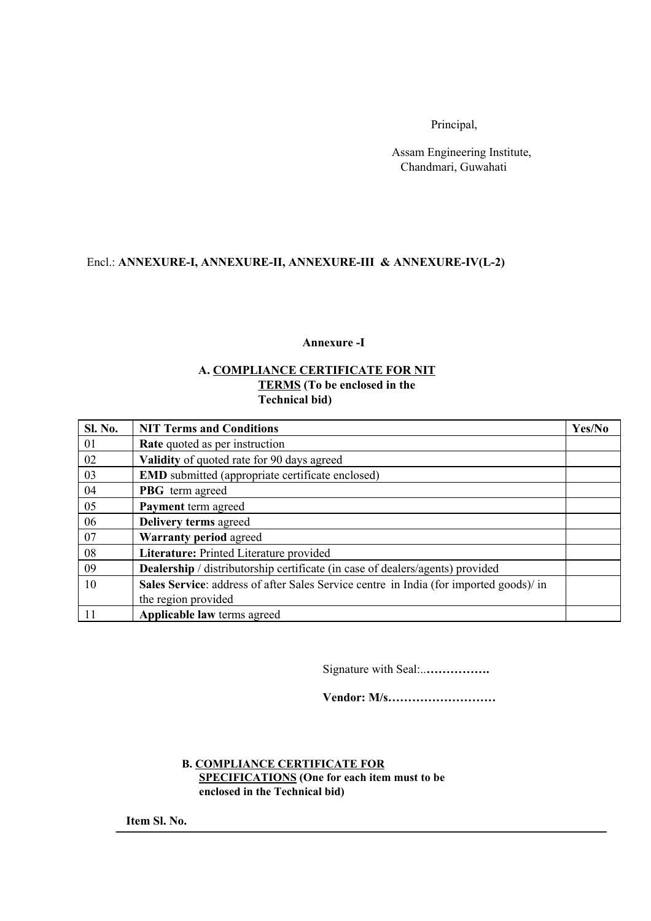Principal,

Assam Engineering Institute, Chandmari, Guwahati

### Encl.: **ANNEXUREI, ANNEXUREII, ANNEXUREIII & ANNEXUREIV(L2)**

### **Annexure I**

### **A. COMPLIANCE CERTIFICATE FOR NIT TERMS(To be enclosed in the Technical bid)**

| <b>Sl. No.</b> | <b>NIT Terms and Conditions</b>                                                        | Yes/No |
|----------------|----------------------------------------------------------------------------------------|--------|
| 01             | <b>Rate</b> quoted as per instruction                                                  |        |
| 02             | Validity of quoted rate for 90 days agreed                                             |        |
| 03             | <b>EMD</b> submitted (appropriate certificate enclosed)                                |        |
| 04             | <b>PBG</b> term agreed                                                                 |        |
| 05             | Payment term agreed                                                                    |        |
| 06             | Delivery terms agreed                                                                  |        |
| 07             | <b>Warranty period agreed</b>                                                          |        |
| 08             | Literature: Printed Literature provided                                                |        |
| 09             | <b>Dealership</b> / distributorship certificate (in case of dealers/agents) provided   |        |
| 10             | Sales Service: address of after Sales Service centre in India (for imported goods)/ in |        |
|                | the region provided                                                                    |        |
| 11             | Applicable law terms agreed                                                            |        |

Signature with Seal:..**…………….**

**Vendor: M/s………………………**

### **B. COMPLIANCE CERTIFICATE FOR SPECIFICATIONS(One for each item must to be**

**enclosed in the Technical bid)**

**Item Sl. No.**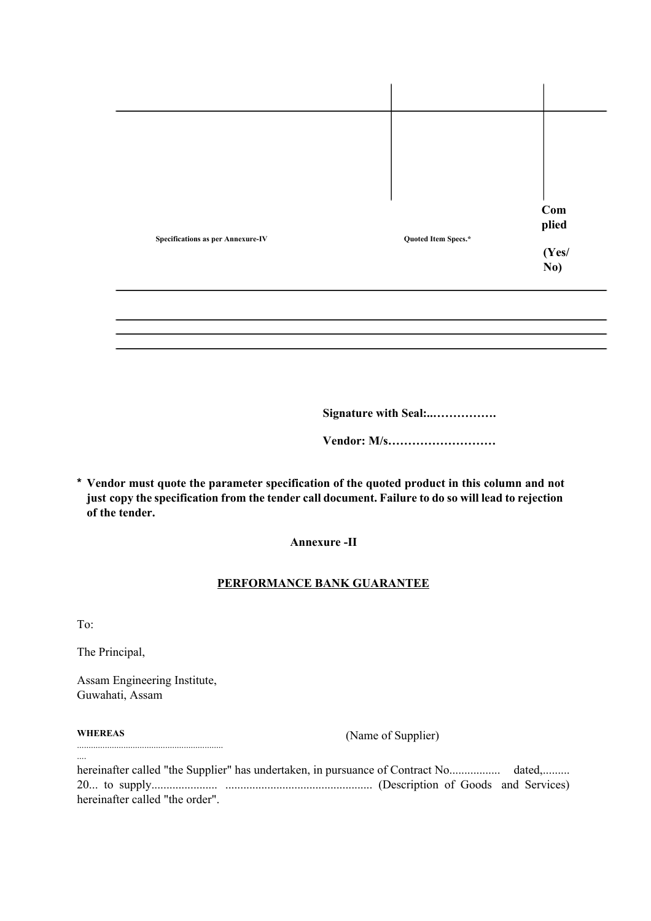|                                          |                     | Com            |
|------------------------------------------|---------------------|----------------|
|                                          |                     | plied          |
| <b>Specifications as per Annexure-IV</b> | Quoted Item Specs.* |                |
|                                          |                     | $(Yes/$<br>No) |
|                                          |                     |                |

**Signature with Seal:..…………….**

**Vendor: M/s………………………**

**\* Vendor must quote the parameter specification of the quoted product in this column and not just copy the specification from the tender call document. Failure to do so will lead to rejection of the tender.**

### **Annexure II**

### **PERFORMANCE BANK GUARANTEE**

To:

The Principal,

Assam Engineering Institute, Guwahati, Assam

...............................................................

#### **WHEREAS**

....

(Name of Supplier)

hereinafter called "the Supplier" has undertaken, in pursuance of Contract No................. dated,......... 20... to supply...................... ................................................. (Description of Goods and Services) hereinafter called "the order".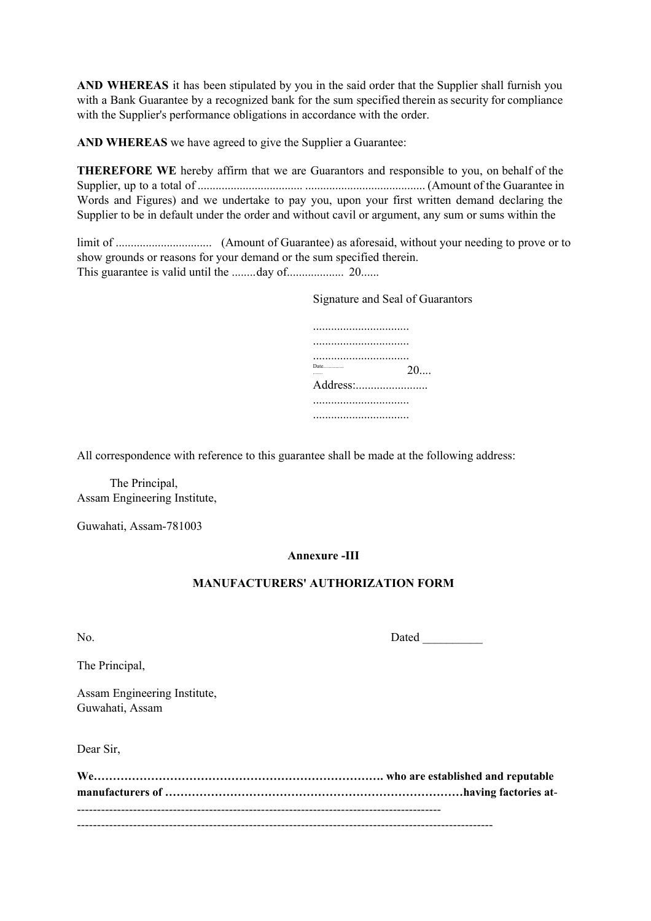**AND WHEREAS** it has been stipulated by you in the said order that the Supplier shall furnish you with a Bank Guarantee by a recognized bank for the sum specified therein as security for compliance with the Supplier's performance obligations in accordance with the order.

**AND WHEREAS** we have agreed to give the Supplier a Guarantee:

**THEREFORE WE** hereby affirm that we are Guarantors and responsible to you, on behalf of the Supplier, up to a total of ................................... ........................................ (Amount of the Guarantee in Words and Figures) and we undertake to pay you, upon your first written demand declaring the Supplier to be in default under the order and without cavil or argument, any sum or sums within the

limit of ................................ (Amount of Guarantee) as aforesaid, without your needing to prove or to show grounds or reasons for your demand or the sum specified therein. This guarantee is valid until the ........day of................... 20......

Signature and Seal of Guarantors

| Date     | 20 |
|----------|----|
| Address: |    |
|          |    |
|          |    |

All correspondence with reference to this guarantee shall be made at the following address:

The Principal, Assam Engineering Institute,

Guwahati, Assam-781003

### **Annexure III**

### **MANUFACTURERS' AUTHORIZATION FORM**

No. Dated

The Principal,

Assam Engineering Institute, Guwahati, Assam

Dear Sir,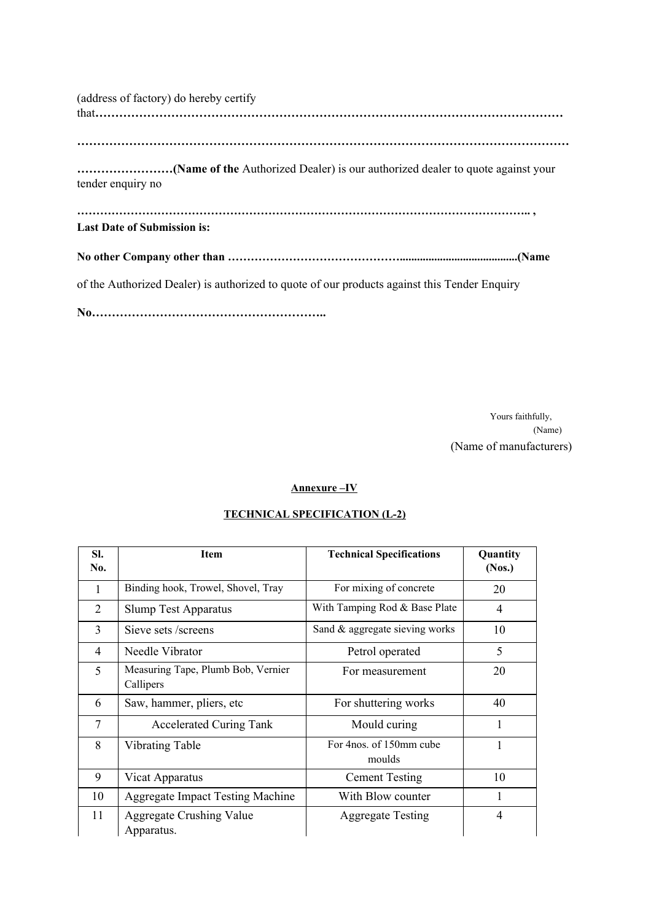| (address of factory) do hereby certify                                                       |
|----------------------------------------------------------------------------------------------|
|                                                                                              |
| tender enquiry no                                                                            |
| <b>Last Date of Submission is:</b>                                                           |
|                                                                                              |
| of the Authorized Dealer) is authorized to quote of our products against this Tender Enquiry |
|                                                                                              |

Yours faithfully, (Name) (Name of manufacturers)

### **Annexure –IV**

### **TECHNICAL SPECIFICATION (L2)**

| Sl.<br>No. | <b>Item</b>                                     | <b>Technical Specifications</b>     | Quantity<br>(Nos.) |
|------------|-------------------------------------------------|-------------------------------------|--------------------|
| 1          | Binding hook, Trowel, Shovel, Tray              | For mixing of concrete              | 20                 |
| 2          | <b>Slump Test Apparatus</b>                     | With Tamping Rod & Base Plate       | 4                  |
| 3          | Sieve sets /screens                             | Sand & aggregate sieving works      | 10                 |
| 4          | Needle Vibrator                                 | Petrol operated                     | 5                  |
| 5          | Measuring Tape, Plumb Bob, Vernier<br>Callipers | For measurement                     | 20                 |
| 6          | Saw, hammer, pliers, etc.                       | For shuttering works                | 40                 |
| 7          | <b>Accelerated Curing Tank</b>                  | Mould curing                        | 1                  |
| 8          | <b>Vibrating Table</b>                          | For 4 nos. of 150 mm cube<br>moulds | 1                  |
| 9          | Vicat Apparatus                                 | <b>Cement Testing</b>               | 10                 |
| 10         | <b>Aggregate Impact Testing Machine</b>         | With Blow counter                   | 1                  |
| 11         | <b>Aggregate Crushing Value</b><br>Apparatus.   | <b>Aggregate Testing</b>            | 4                  |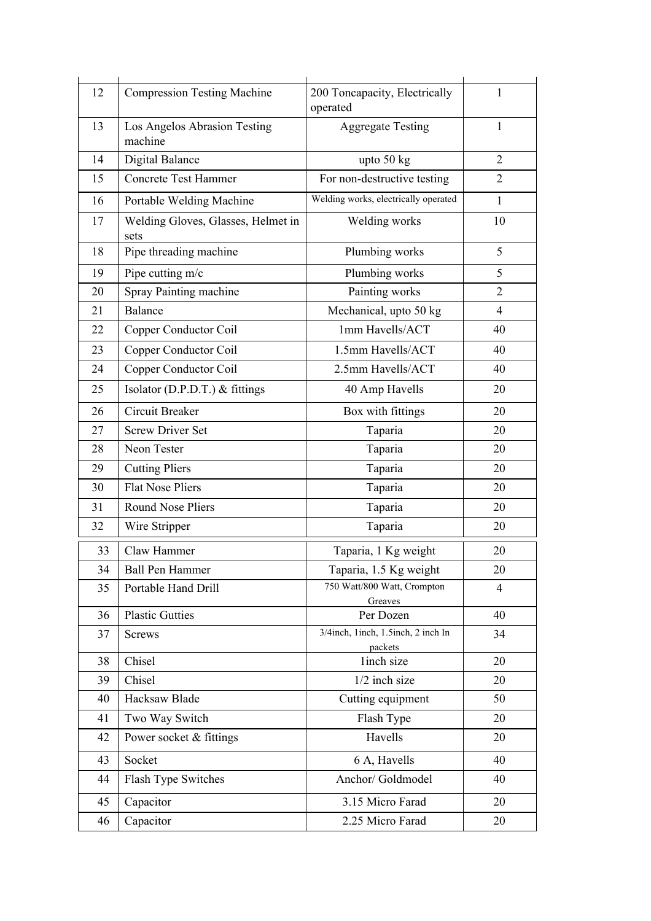| 12 | <b>Compression Testing Machine</b>         | 200 Toncapacity, Electrically<br>operated     | 1              |
|----|--------------------------------------------|-----------------------------------------------|----------------|
| 13 | Los Angelos Abrasion Testing<br>machine    | <b>Aggregate Testing</b>                      | $\mathbf{1}$   |
| 14 | <b>Digital Balance</b>                     | upto $50$ kg                                  | $\overline{2}$ |
| 15 | <b>Concrete Test Hammer</b>                | For non-destructive testing                   | $\overline{2}$ |
| 16 | Portable Welding Machine                   | Welding works, electrically operated          | $\mathbf{1}$   |
| 17 | Welding Gloves, Glasses, Helmet in<br>sets | Welding works                                 | 10             |
| 18 | Pipe threading machine                     | Plumbing works                                | 5              |
| 19 | Pipe cutting m/c                           | Plumbing works                                | 5              |
| 20 | Spray Painting machine                     | Painting works                                | $\overline{2}$ |
| 21 | <b>Balance</b>                             | Mechanical, upto 50 kg                        | $\overline{4}$ |
| 22 | Copper Conductor Coil                      | 1mm Havells/ACT                               | 40             |
| 23 | Copper Conductor Coil                      | 1.5mm Havells/ACT                             | 40             |
| 24 | Copper Conductor Coil                      | 2.5mm Havells/ACT                             | 40             |
| 25 | Isolator (D.P.D.T.) & fittings             | 40 Amp Havells                                | 20             |
| 26 | Circuit Breaker                            | Box with fittings                             | 20             |
| 27 | <b>Screw Driver Set</b>                    | Taparia                                       | 20             |
| 28 | Neon Tester                                | Taparia                                       | 20             |
| 29 | <b>Cutting Pliers</b>                      | Taparia                                       | 20             |
| 30 | <b>Flat Nose Pliers</b>                    | Taparia                                       | 20             |
| 31 | <b>Round Nose Pliers</b>                   | Taparia                                       | 20             |
| 32 | Wire Stripper                              | Taparia                                       | 20             |
| 33 | Claw Hammer                                | Taparia, 1 Kg weight                          | 20             |
| 34 | <b>Ball Pen Hammer</b>                     | Taparia, 1.5 Kg weight                        | 20             |
| 35 | Portable Hand Drill                        | 750 Watt/800 Watt, Crompton<br>Greaves        | $\overline{4}$ |
| 36 | <b>Plastic Gutties</b>                     | Per Dozen                                     | 40             |
| 37 | <b>Screws</b>                              | 3/4inch, 1inch, 1.5inch, 2 inch In<br>packets | 34             |
| 38 | Chisel                                     | linch size                                    | 20             |
| 39 | Chisel                                     | $1/2$ inch size                               | 20             |
| 40 | Hacksaw Blade                              | Cutting equipment                             | 50             |
| 41 | Two Way Switch                             | Flash Type                                    | 20             |
| 42 | Power socket & fittings                    | Havells                                       | 20             |
| 43 | Socket                                     | 6 A, Havells                                  | 40             |
| 44 | Flash Type Switches                        | Anchor/ Goldmodel                             | 40             |
| 45 | Capacitor                                  | 3.15 Micro Farad                              | 20             |
| 46 | Capacitor                                  | 2.25 Micro Farad                              | 20             |